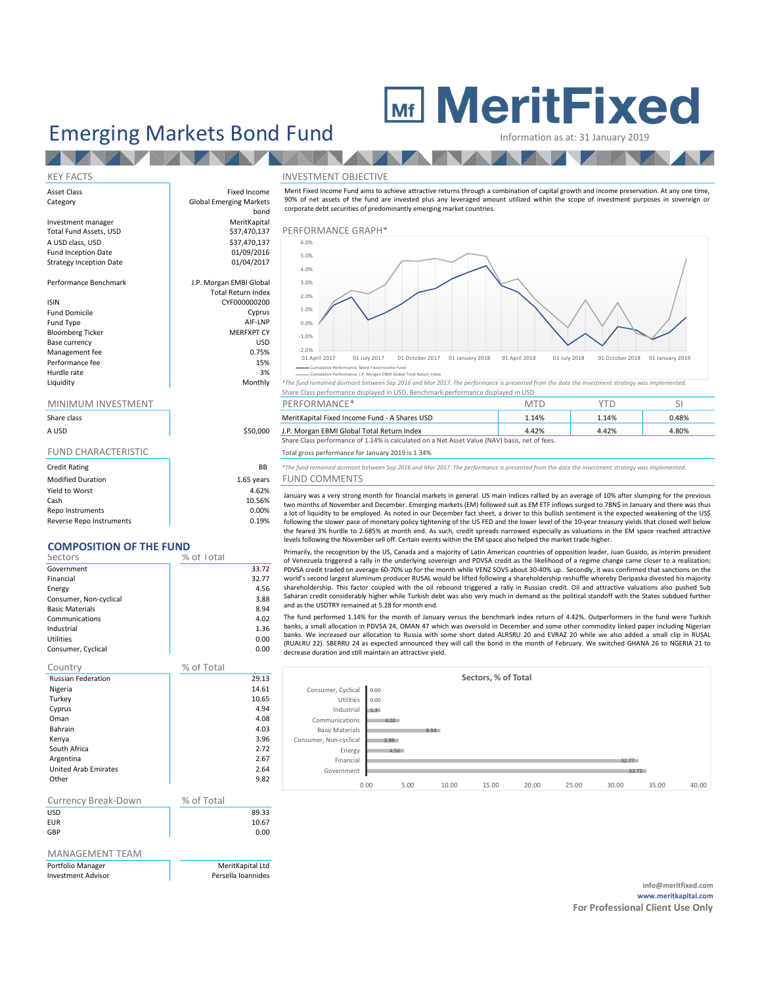# Emerging Markets Bond Fund Information as at: 31 January 2019

## KEY FACTS THE SERVICE OF THE RESERVE INVESTMENT OBJECTIVE Asset Class **Fixed Income** Category **Global Emerging Markets** bond Investment manager **MeritKapital** Total Fund Assets, USD **\$37,470,137 PERFORMANCE GRAPH**\*  $\begin{array}{ccc} \text{A } \text{USD} & \text{S37,470,137} \\ \text{Fund Inception Date} & \text{O1/09/2016} \end{array}$ Fund Inception Date 01/09/2016<br>Strategy Inception Date 01/04/2017 Strategy Inception Date Performance Benchmark J.P. Morgan EMBI Global Total Return Index ISIN CYF000000200 Fund Domicile Cyprus Fund Type and Type AIF-LNP<br>Bloomberg Ticker and The MEREXPT CY Bloomberg Ticker Base currency and the state of the state of the USD USD Management fee 0.75% Performance fee 15% Hurdle rate 3% Liquidity Monthly *\*The fund remained dormant between Sep 2016 and Mar 2017. The performance is presented from the date the investment strategy was implemented.* Share Class performance displayed in USD, Benchmark performance displayed in USD MINIMUM INVESTMENT THE RESERVE OF PERFORMANCE\* The SILL SITE OF SILL SITE OF SILL SITE OF SILL SITE OF SILL SI **EXERUT FIXED INCOLLECTIVE**<br>
Information as at: 31 January 2019<br>
NVESTMENT OBJECTIVE<br>
Note these the characteristic of the fund are livered glus any leveraged amount utilized within the scope of investment purposes in sove **90% of net assets of the fund are invested plus any leveraged amount utilized within the scope of investment purposes in sovereign or<br>
MESTIMENT OBJECTIVE<br>
Ment Fixed Income Fund aims to achieve attractive returns through EXECUTE CORPORATE CORPORATE CORPORATE CORPORATE CONDUCTIVE MELTING ACCORD CONDUCT AND CONDUCT AND CONDUCT AND CONDUCT AND CONDUCT AND CONDUCT AND CONDUCT AND CONDUCT AND CONDUCT AND CONDUCT AND CONDUCT AND CONDUCT AND CON** Month from Conservance is a very strong month of the priori second interaction of conservance is strong process in sovereign or<br>SPS of red stated of the financial markets phase and the term of the present subject of the sc We have the state of the state state of November and C-Ross of November and the C-Ross of The Street of November and C-Ross of The Street of The Street of November and C-Ross of The Street of The Street of The Street of T SWe hot are asset of liburation to the ligurity of liquidity of ligit of light to be expected in our December of the CRAP is the content of the energy and content of the energy and content of the energy and content of the for pace of monetary and the slower pace of monetary policy tightening the slower pace of the slower pace of monetary and the slower pace of the US FED and the US FED and the US FED and the US FED and the US FED and the US ERFORMANCE GRAPH<sup>4</sup><br>
1976.<br>
1976.<br>
1986.<br>
1986.<br>
1986.<br>
1986.<br>
1986.<br>
1986.<br>
1986.<br> **1986.**<br>
1986.<br> **1986.**<br> **1986.**<br> **1986.**<br> **1986.**<br> **1986.**<br> **1986.**<br> **1986.**<br> **1986.**<br> **1986.**<br> **1986.**<br> **1986.**<br> **1986.**<br> **1986.**<br> **1986** -2.0% -1.0% 0.0% 1.0% 2.0% 3.0% 4.0% 5.0% 6.0% Mf IMP IS a complete the control of the control of the control of the control of the control of the control of the control of the control of the control of the control of the control of the control of the control of the co

| <b>JIIGIE LIGSS</b>        |  |
|----------------------------|--|
| A USD                      |  |
| <b>FUND CHARACTERISTIC</b> |  |

| <b>Credit Rating</b>     | <b>BB</b>  |
|--------------------------|------------|
| <b>Modified Duration</b> | 1.65 years |
| Yield to Worst           | 4.62%      |
| Cash                     | 10.56%     |
| Repo Instruments         | $0.00\%$   |
| Reverse Repo Instruments | 0.19%      |
|                          |            |

## COMPOSITION OF THE FUND

| Sectors                | % of Total |
|------------------------|------------|
| Government             | 33.72      |
| Financial              | 32.77      |
| Energy                 | 4.56       |
| Consumer, Non-cyclical | 3.88       |
| <b>Basic Materials</b> | 8.94       |
| Communications         | 4.02       |
| Industrial             | 1.36       |
| Utilities              | 0.00       |
| Consumer, Cyclical     | 0.00       |

| Country                     | % of Total |       |
|-----------------------------|------------|-------|
| <b>Russian Federation</b>   |            | 29.13 |
| Nigeria                     |            | 14.61 |
| Turkey                      |            | 10.65 |
| Cyprus                      |            | 4.94  |
| Oman                        |            | 4.08  |
| Bahrain                     |            | 4.03  |
| Kenya                       |            | 3.96  |
| South Africa                |            | 2.72  |
| Argentina                   |            | 2.67  |
| <b>United Arab Emirates</b> |            | 2.64  |
| Other                       |            | 9.82  |
|                             |            |       |
| <b>Currency Break-Down</b>  | % of Total |       |
| <b>USD</b>                  |            | 89.33 |
| EUR                         |            | 10.67 |
| <b>GBP</b>                  |            | 0.00  |

### MANAGEMENT TEAM

| Portfolio Manager                         |
|-------------------------------------------|
| المتحادث والمتراه القامس ومستقصد ومداراته |

MeritKapital Ltd Investment Advisor **Persella Ioannides** 



## Share class **MeritKapital Fixed Income Fund - A Shares USD** 1.14% 1.14% 1.14% 0.48% 0.48% A USD \$50,000 J.P. Morgan EBMI Global Total Return Index 4.42% 4.42% 4.80%

## Total gross performance for January 2019 is 1.34%

**B** \*The fund remained dormant between Sep 2016 and Mar 2017. The performance is presented from the date the investment strategy was implemented.

Irs FUND COMMENTS

| Cumulative Performance, Merit Fixed Income Fund<br>Cumulative Performance, J.P. Morgan EBMI Global Total Return Index<br>The fund remained dormant between Sep 2016 and Mar 2017. The performance is presented from the date the investment strategy was implemented.<br>Share Class performance displayed in USD, Benchmark performance displayed in USD<br>PERFORMANCE*<br><b>YTD</b><br><b>MTD</b> |                |
|-------------------------------------------------------------------------------------------------------------------------------------------------------------------------------------------------------------------------------------------------------------------------------------------------------------------------------------------------------------------------------------------------------|----------------|
|                                                                                                                                                                                                                                                                                                                                                                                                       |                |
|                                                                                                                                                                                                                                                                                                                                                                                                       |                |
|                                                                                                                                                                                                                                                                                                                                                                                                       | <sup>SI</sup>  |
| MeritKapital Fixed Income Fund - A Shares USD<br>1.14%<br>1.14%                                                                                                                                                                                                                                                                                                                                       | 0.48%          |
|                                                                                                                                                                                                                                                                                                                                                                                                       |                |
| 4.42%<br>4.42%<br>.P. Morgan EBMI Global Total Return Index<br>Share Class performance of 1.14% is calculated on a Net Asset Value (NAV) basis, net of fees.                                                                                                                                                                                                                                          | 4.80%          |
| Total gross performance for January 2019 is 1.34%                                                                                                                                                                                                                                                                                                                                                     |                |
|                                                                                                                                                                                                                                                                                                                                                                                                       |                |
| The fund remained dormant between Sep 2016 and Mar 2017. The performance is presented from the date the investment strategy was implemented.<br>FUND COMMENTS                                                                                                                                                                                                                                         |                |
| January was a very strong month for financial markets in general. US main indices rallied by an average of 10% after slumping for the previous<br>two months of November and December. Emerging markets (EM) followed suit as EM ETF inflows surged to 7BN\$ in January and there was thus                                                                                                            |                |
| a lot of liquidity to be employed. As noted in our December fact sheet, a driver to this bullish sentiment is the expected weakening of the US\$<br>following the slower pace of monetary policy tightening of the US FED and the lower level of the 10-year treasury yields that closed well below                                                                                                   |                |
| the feared 3% hurdle to 2.685% at month end. As such, credit spreads narrowed especially as valuations in the EM space reached attractive                                                                                                                                                                                                                                                             |                |
| levels following the November sell off. Certain events within the EM space also helped the market trade higher.                                                                                                                                                                                                                                                                                       |                |
| Primarily, the recognition by the US, Canada and a majority of Latin American countries of opposition leader, Juan Guaido, as interim president                                                                                                                                                                                                                                                       |                |
| of Venezuela triggered a rally in the underlying sovereign and PDVSA credit as the likelihood of a regime change came closer to a realization;                                                                                                                                                                                                                                                        |                |
| PDVSA credit traded on average 60-70% up for the month while VENZ SOVS about 30-40% up. Secondly, it was confirmed that sanctions on the<br>world's second largest aluminum producer RUSAL would be lifted following a shareholdership reshuffle whereby Deripaska divested his majority                                                                                                              |                |
| shareholdership. This factor coupled with the oil rebound triggered a rally in Russian credit. Oil and attractive valuations also pushed Sub                                                                                                                                                                                                                                                          |                |
| Saharan credit considerably higher while Turkish debt was also very much in demand as the political standoff with the States subdued further                                                                                                                                                                                                                                                          |                |
| and as the USDTRY remained at 5.28 for month end.                                                                                                                                                                                                                                                                                                                                                     |                |
| The fund performed 1.14% for the month of January versus the benchmark index return of 4.42%. Outperformers in the fund were Turkish                                                                                                                                                                                                                                                                  |                |
| banks, a small allocation in PDVSA 24, OMAN 47 which was oversold in December and some other commodity linked paper including Nigerian                                                                                                                                                                                                                                                                |                |
| banks. We increased our allocation to Russia with some short dated ALRSRU 20 and EVRAZ 20 while we also added a small clip in RUSAL                                                                                                                                                                                                                                                                   |                |
| (RUALRU 22). SBERRU 24 as expected announced they will call the bond in the month of February. We switched GHANA 26 to NGERIA 21 to<br>decrease duration and still maintain an attractive yield.                                                                                                                                                                                                      |                |
|                                                                                                                                                                                                                                                                                                                                                                                                       |                |
| Sectors, % of Total                                                                                                                                                                                                                                                                                                                                                                                   |                |
| Consumer, Cyclical<br>0.00                                                                                                                                                                                                                                                                                                                                                                            |                |
| Utilities<br>0.00                                                                                                                                                                                                                                                                                                                                                                                     |                |
| Industrial<br>1.36                                                                                                                                                                                                                                                                                                                                                                                    |                |
| Communications<br>4.02                                                                                                                                                                                                                                                                                                                                                                                |                |
| <b>Basic Materials</b><br>8.94                                                                                                                                                                                                                                                                                                                                                                        |                |
| Consumer, Non-cyclical<br>3.88                                                                                                                                                                                                                                                                                                                                                                        |                |
| Energy<br>4.56                                                                                                                                                                                                                                                                                                                                                                                        |                |
| Financial<br>32.77                                                                                                                                                                                                                                                                                                                                                                                    |                |
| Government<br>33.72                                                                                                                                                                                                                                                                                                                                                                                   |                |
|                                                                                                                                                                                                                                                                                                                                                                                                       |                |
| 0.00<br>25.00<br>5.00<br>10.00<br>15.00<br>20.00<br>30.00                                                                                                                                                                                                                                                                                                                                             | 35.00<br>40.00 |
|                                                                                                                                                                                                                                                                                                                                                                                                       |                |
|                                                                                                                                                                                                                                                                                                                                                                                                       |                |
|                                                                                                                                                                                                                                                                                                                                                                                                       |                |
|                                                                                                                                                                                                                                                                                                                                                                                                       |                |
|                                                                                                                                                                                                                                                                                                                                                                                                       |                |
|                                                                                                                                                                                                                                                                                                                                                                                                       |                |
|                                                                                                                                                                                                                                                                                                                                                                                                       |                |
|                                                                                                                                                                                                                                                                                                                                                                                                       |                |

info@meritfixed.com www.meritkapital.com For Professional Client Use Only